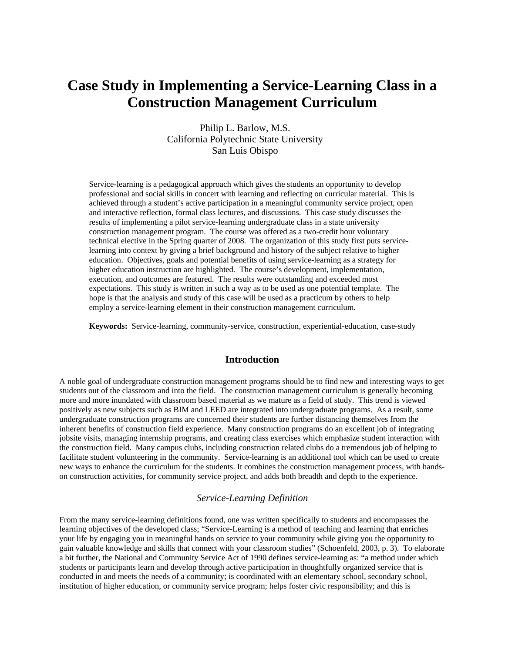# **Case Study in Implementing a Service-Learning Class in a Construction Management Curriculum**

Philip L. Barlow, M.S. California Polytechnic State University San Luis Obispo

Service-learning is a pedagogical approach which gives the students an opportunity to develop professional and social skills in concert with learning and reflecting on curricular material. This is achieved through a student's active participation in a meaningful community service project, open and interactive reflection, formal class lectures, and discussions. This case study discusses the results of implementing a pilot service-learning undergraduate class in a state university construction management program. The course was offered as a two-credit hour voluntary technical elective in the Spring quarter of 2008. The organization of this study first puts servicelearning into context by giving a brief background and history of the subject relative to higher education. Objectives, goals and potential benefits of using service-learning as a strategy for higher education instruction are highlighted. The course's development, implementation, execution, and outcomes are featured. The results were outstanding and exceeded most expectations. This study is written in such a way as to be used as one potential template. The hope is that the analysis and study of this case will be used as a practicum by others to help employ a service-learning element in their construction management curriculum.

**Keywords:** Service-learning, community-service, construction, experiential-education, case-study

# **Introduction**

A noble goal of undergraduate construction management programs should be to find new and interesting ways to get students out of the classroom and into the field. The construction management curriculum is generally becoming more and more inundated with classroom based material as we mature as a field of study. This trend is viewed positively as new subjects such as BIM and LEED are integrated into undergraduate programs. As a result, some undergraduate construction programs are concerned their students are further distancing themselves from the inherent benefits of construction field experience. Many construction programs do an excellent job of integrating jobsite visits, managing internship programs, and creating class exercises which emphasize student interaction with the construction field. Many campus clubs, including construction related clubs do a tremendous job of helping to facilitate student volunteering in the community. Service-learning is an additional tool which can be used to create new ways to enhance the curriculum for the students. It combines the construction management process, with handson construction activities, for community service project, and adds both breadth and depth to the experience.

# *Service-Learning Definition*

From the many service-learning definitions found, one was written specifically to students and encompasses the learning objectives of the developed class; "Service-Learning is a method of teaching and learning that enriches your life by engaging you in meaningful hands on service to your community while giving you the opportunity to gain valuable knowledge and skills that connect with your classroom studies" (Schoenfeld, 2003, p. 3). To elaborate a bit further, the National and Community Service Act of 1990 defines service-learning as: "a method under which students or participants learn and develop through active participation in thoughtfully organized service that is conducted in and meets the needs of a community; is coordinated with an elementary school, secondary school, institution of higher education, or community service program; helps foster civic responsibility; and this is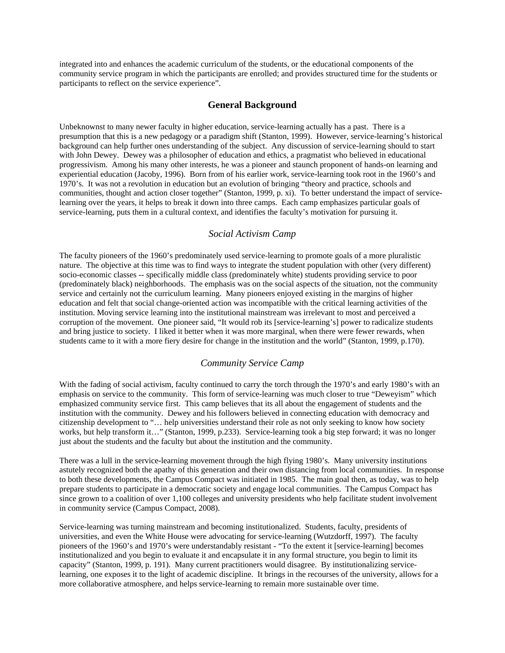integrated into and enhances the academic curriculum of the students, or the educational components of the community service program in which the participants are enrolled; and provides structured time for the students or participants to reflect on the service experience".

# **General Background**

Unbeknownst to many newer faculty in higher education, service-learning actually has a past. There is a presumption that this is a new pedagogy or a paradigm shift (Stanton, 1999). However, service-learning's historical background can help further ones understanding of the subject. Any discussion of service-learning should to start with John Dewey. Dewey was a philosopher of education and ethics, a pragmatist who believed in educational progressivism. Among his many other interests, he was a pioneer and staunch proponent of hands-on learning and experiential education (Jacoby, 1996). Born from of his earlier work, service-learning took root in the 1960's and 1970's. It was not a revolution in education but an evolution of bringing "theory and practice, schools and communities, thought and action closer together" (Stanton, 1999, p. xi). To better understand the impact of servicelearning over the years, it helps to break it down into three camps. Each camp emphasizes particular goals of service-learning, puts them in a cultural context, and identifies the faculty's motivation for pursuing it.

## *Social Activism Camp*

The faculty pioneers of the 1960's predominately used service-learning to promote goals of a more pluralistic nature. The objective at this time was to find ways to integrate the student population with other (very different) socio-economic classes -- specifically middle class (predominately white) students providing service to poor (predominately black) neighborhoods. The emphasis was on the social aspects of the situation, not the community service and certainly not the curriculum learning. Many pioneers enjoyed existing in the margins of higher education and felt that social change-oriented action was incompatible with the critical learning activities of the institution. Moving service learning into the institutional mainstream was irrelevant to most and perceived a corruption of the movement. One pioneer said, "It would rob its [service-learning's] power to radicalize students and bring justice to society. I liked it better when it was more marginal, when there were fewer rewards, when students came to it with a more fiery desire for change in the institution and the world" (Stanton, 1999, p.170).

# *Community Service Camp*

With the fading of social activism, faculty continued to carry the torch through the 1970's and early 1980's with an emphasis on service to the community. This form of service-learning was much closer to true "Deweyism" which emphasized community service first. This camp believes that its all about the engagement of students and the institution with the community. Dewey and his followers believed in connecting education with democracy and citizenship development to "… help universities understand their role as not only seeking to know how society works, but help transform it…" (Stanton, 1999, p.233). Service-learning took a big step forward; it was no longer just about the students and the faculty but about the institution and the community.

There was a lull in the service-learning movement through the high flying 1980's. Many university institutions astutely recognized both the apathy of this generation and their own distancing from local communities. In response to both these developments, the Campus Compact was initiated in 1985. The main goal then, as today, was to help prepare students to participate in a democratic society and engage local communities. The Campus Compact has since grown to a coalition of over 1,100 colleges and university presidents who help facilitate student involvement in community service (Campus Compact, 2008).

Service-learning was turning mainstream and becoming institutionalized. Students, faculty, presidents of universities, and even the White House were advocating for service-learning (Wutzdorff, 1997). The faculty pioneers of the 1960's and 1970's were understandably resistant - "To the extent it [service-learning] becomes institutionalized and you begin to evaluate it and encapsulate it in any formal structure, you begin to limit its capacity" (Stanton, 1999, p. 191). Many current practitioners would disagree. By institutionalizing servicelearning, one exposes it to the light of academic discipline. It brings in the recourses of the university, allows for a more collaborative atmosphere, and helps service-learning to remain more sustainable over time.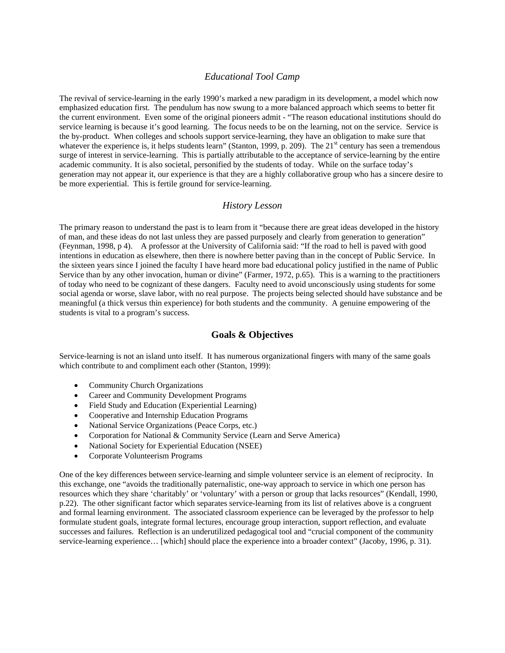# *Educational Tool Camp*

The revival of service-learning in the early 1990's marked a new paradigm in its development, a model which now emphasized education first. The pendulum has now swung to a more balanced approach which seems to better fit the current environment. Even some of the original pioneers admit - "The reason educational institutions should do service learning is because it's good learning. The focus needs to be on the learning, not on the service. Service is the by-product. When colleges and schools support service-learning, they have an obligation to make sure that whatever the experience is, it helps students learn" (Stanton, 1999, p. 209). The 21<sup>st</sup> century has seen a tremendous surge of interest in service-learning. This is partially attributable to the acceptance of service-learning by the entire academic community. It is also societal, personified by the students of today. While on the surface today's generation may not appear it, our experience is that they are a highly collaborative group who has a sincere desire to be more experiential. This is fertile ground for service-learning.

## *History Lesson*

The primary reason to understand the past is to learn from it "because there are great ideas developed in the history of man, and these ideas do not last unless they are passed purposely and clearly from generation to generation" (Feynman, 1998, p 4). A professor at the University of California said: "If the road to hell is paved with good intentions in education as elsewhere, then there is nowhere better paving than in the concept of Public Service. In the sixteen years since I joined the faculty I have heard more bad educational policy justified in the name of Public Service than by any other invocation, human or divine" (Farmer, 1972, p.65). This is a warning to the practitioners of today who need to be cognizant of these dangers. Faculty need to avoid unconsciously using students for some social agenda or worse, slave labor, with no real purpose. The projects being selected should have substance and be meaningful (a thick versus thin experience) for both students and the community. A genuine empowering of the students is vital to a program's success.

#### **Goals & Objectives**

Service-learning is not an island unto itself. It has numerous organizational fingers with many of the same goals which contribute to and compliment each other (Stanton, 1999):

- Community Church Organizations
- Career and Community Development Programs
- Field Study and Education (Experiential Learning)
- Cooperative and Internship Education Programs
- National Service Organizations (Peace Corps, etc.)
- Corporation for National & Community Service (Learn and Serve America)
- National Society for Experiential Education (NSEE)
- Corporate Volunteerism Programs

One of the key differences between service-learning and simple volunteer service is an element of reciprocity. In this exchange, one "avoids the traditionally paternalistic, one-way approach to service in which one person has resources which they share 'charitably' or 'voluntary' with a person or group that lacks resources" (Kendall, 1990, p.22). The other significant factor which separates service-learning from its list of relatives above is a congruent and formal learning environment. The associated classroom experience can be leveraged by the professor to help formulate student goals, integrate formal lectures, encourage group interaction, support reflection, and evaluate successes and failures. Reflection is an underutilized pedagogical tool and "crucial component of the community service-learning experience… [which] should place the experience into a broader context" (Jacoby, 1996, p. 31).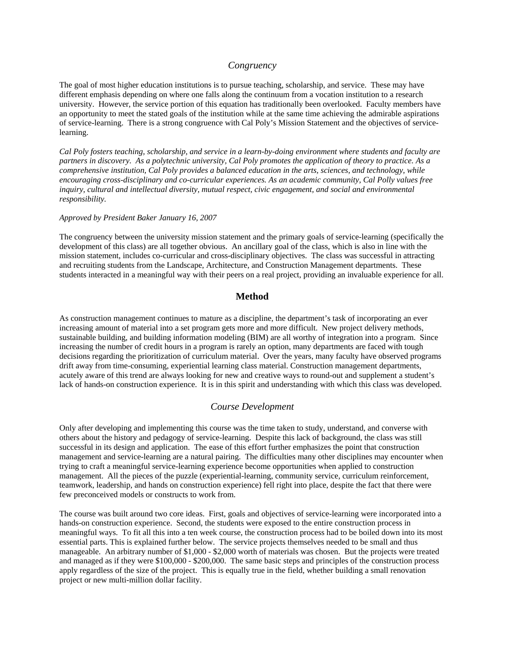## *Congruency*

The goal of most higher education institutions is to pursue teaching, scholarship, and service. These may have different emphasis depending on where one falls along the continuum from a vocation institution to a research university. However, the service portion of this equation has traditionally been overlooked. Faculty members have an opportunity to meet the stated goals of the institution while at the same time achieving the admirable aspirations of service-learning. There is a strong congruence with Cal Poly's Mission Statement and the objectives of servicelearning.

*Cal Poly fosters teaching, scholarship, and service in a learn-by-doing environment where students and faculty are partners in discovery. As a polytechnic university, Cal Poly promotes the application of theory to practice. As a comprehensive institution, Cal Poly provides a balanced education in the arts, sciences, and technology, while encouraging cross-disciplinary and co-curricular experiences. As an academic community, Cal Polly values free inquiry, cultural and intellectual diversity, mutual respect, civic engagement, and social and environmental responsibility.* 

#### *Approved by President Baker January 16, 2007*

The congruency between the university mission statement and the primary goals of service-learning (specifically the development of this class) are all together obvious. An ancillary goal of the class, which is also in line with the mission statement, includes co-curricular and cross-disciplinary objectives. The class was successful in attracting and recruiting students from the Landscape, Architecture, and Construction Management departments. These students interacted in a meaningful way with their peers on a real project, providing an invaluable experience for all.

# **Method**

As construction management continues to mature as a discipline, the department's task of incorporating an ever increasing amount of material into a set program gets more and more difficult. New project delivery methods, sustainable building, and building information modeling (BIM) are all worthy of integration into a program. Since increasing the number of credit hours in a program is rarely an option, many departments are faced with tough decisions regarding the prioritization of curriculum material. Over the years, many faculty have observed programs drift away from time-consuming, experiential learning class material. Construction management departments, acutely aware of this trend are always looking for new and creative ways to round-out and supplement a student's lack of hands-on construction experience. It is in this spirit and understanding with which this class was developed.

#### *Course Development*

Only after developing and implementing this course was the time taken to study, understand, and converse with others about the history and pedagogy of service-learning. Despite this lack of background, the class was still successful in its design and application. The ease of this effort further emphasizes the point that construction management and service-learning are a natural pairing. The difficulties many other disciplines may encounter when trying to craft a meaningful service-learning experience become opportunities when applied to construction management. All the pieces of the puzzle (experiential-learning, community service, curriculum reinforcement, teamwork, leadership, and hands on construction experience) fell right into place, despite the fact that there were few preconceived models or constructs to work from.

The course was built around two core ideas. First, goals and objectives of service-learning were incorporated into a hands-on construction experience. Second, the students were exposed to the entire construction process in meaningful ways. To fit all this into a ten week course, the construction process had to be boiled down into its most essential parts. This is explained further below. The service projects themselves needed to be small and thus manageable. An arbitrary number of \$1,000 - \$2,000 worth of materials was chosen. But the projects were treated and managed as if they were \$100,000 - \$200,000. The same basic steps and principles of the construction process apply regardless of the size of the project. This is equally true in the field, whether building a small renovation project or new multi-million dollar facility.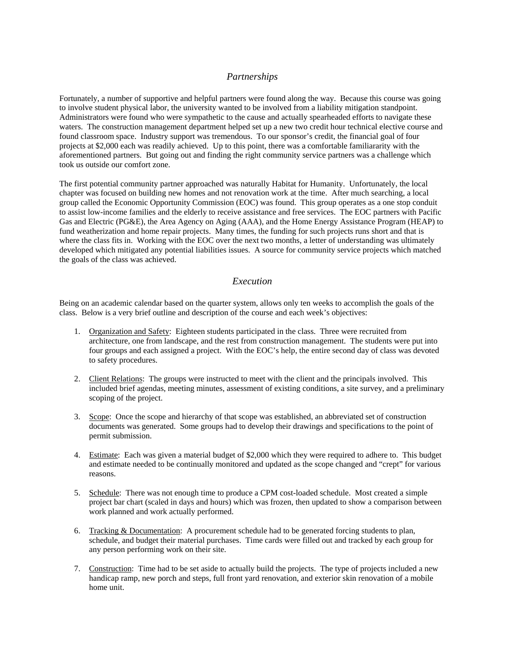# *Partnerships*

Fortunately, a number of supportive and helpful partners were found along the way. Because this course was going to involve student physical labor, the university wanted to be involved from a liability mitigation standpoint. Administrators were found who were sympathetic to the cause and actually spearheaded efforts to navigate these waters. The construction management department helped set up a new two credit hour technical elective course and found classroom space. Industry support was tremendous. To our sponsor's credit, the financial goal of four projects at \$2,000 each was readily achieved. Up to this point, there was a comfortable familiararity with the aforementioned partners. But going out and finding the right community service partners was a challenge which took us outside our comfort zone.

The first potential community partner approached was naturally Habitat for Humanity. Unfortunately, the local chapter was focused on building new homes and not renovation work at the time. After much searching, a local group called the Economic Opportunity Commission (EOC) was found. This group operates as a one stop conduit to assist low-income families and the elderly to receive assistance and free services. The EOC partners with Pacific Gas and Electric (PG&E), the Area Agency on Aging (AAA), and the Home Energy Assistance Program (HEAP) to fund weatherization and home repair projects. Many times, the funding for such projects runs short and that is where the class fits in. Working with the EOC over the next two months, a letter of understanding was ultimately developed which mitigated any potential liabilities issues. A source for community service projects which matched the goals of the class was achieved.

# *Execution*

Being on an academic calendar based on the quarter system, allows only ten weeks to accomplish the goals of the class. Below is a very brief outline and description of the course and each week's objectives:

- 1. Organization and Safety: Eighteen students participated in the class. Three were recruited from architecture, one from landscape, and the rest from construction management. The students were put into four groups and each assigned a project. With the EOC's help, the entire second day of class was devoted to safety procedures.
- 2. Client Relations: The groups were instructed to meet with the client and the principals involved. This included brief agendas, meeting minutes, assessment of existing conditions, a site survey, and a preliminary scoping of the project.
- 3. Scope: Once the scope and hierarchy of that scope was established, an abbreviated set of construction documents was generated. Some groups had to develop their drawings and specifications to the point of permit submission.
- 4. Estimate: Each was given a material budget of \$2,000 which they were required to adhere to. This budget and estimate needed to be continually monitored and updated as the scope changed and "crept" for various reasons.
- 5. Schedule: There was not enough time to produce a CPM cost-loaded schedule. Most created a simple project bar chart (scaled in days and hours) which was frozen, then updated to show a comparison between work planned and work actually performed.
- 6. Tracking & Documentation: A procurement schedule had to be generated forcing students to plan, schedule, and budget their material purchases. Time cards were filled out and tracked by each group for any person performing work on their site.
- 7. Construction: Time had to be set aside to actually build the projects. The type of projects included a new handicap ramp, new porch and steps, full front yard renovation, and exterior skin renovation of a mobile home unit.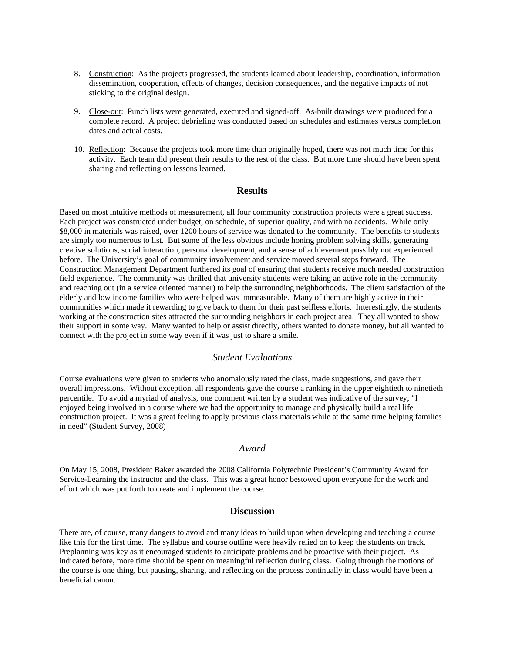- 8. Construction: As the projects progressed, the students learned about leadership, coordination, information dissemination, cooperation, effects of changes, decision consequences, and the negative impacts of not sticking to the original design.
- 9. Close-out: Punch lists were generated, executed and signed-off. As-built drawings were produced for a complete record. A project debriefing was conducted based on schedules and estimates versus completion dates and actual costs.
- 10. Reflection: Because the projects took more time than originally hoped, there was not much time for this activity. Each team did present their results to the rest of the class. But more time should have been spent sharing and reflecting on lessons learned.

# **Results**

Based on most intuitive methods of measurement, all four community construction projects were a great success. Each project was constructed under budget, on schedule, of superior quality, and with no accidents. While only \$8,000 in materials was raised, over 1200 hours of service was donated to the community. The benefits to students are simply too numerous to list. But some of the less obvious include honing problem solving skills, generating creative solutions, social interaction, personal development, and a sense of achievement possibly not experienced before. The University's goal of community involvement and service moved several steps forward. The Construction Management Department furthered its goal of ensuring that students receive much needed construction field experience. The community was thrilled that university students were taking an active role in the community and reaching out (in a service oriented manner) to help the surrounding neighborhoods. The client satisfaction of the elderly and low income families who were helped was immeasurable. Many of them are highly active in their communities which made it rewarding to give back to them for their past selfless efforts. Interestingly, the students working at the construction sites attracted the surrounding neighbors in each project area. They all wanted to show their support in some way. Many wanted to help or assist directly, others wanted to donate money, but all wanted to connect with the project in some way even if it was just to share a smile.

## *Student Evaluations*

Course evaluations were given to students who anomalously rated the class, made suggestions, and gave their overall impressions. Without exception, all respondents gave the course a ranking in the upper eightieth to ninetieth percentile. To avoid a myriad of analysis, one comment written by a student was indicative of the survey; "I enjoyed being involved in a course where we had the opportunity to manage and physically build a real life construction project. It was a great feeling to apply previous class materials while at the same time helping families in need" (Student Survey, 2008)

#### *Award*

On May 15, 2008, President Baker awarded the 2008 California Polytechnic President's Community Award for Service-Learning the instructor and the class. This was a great honor bestowed upon everyone for the work and effort which was put forth to create and implement the course.

#### **Discussion**

There are, of course, many dangers to avoid and many ideas to build upon when developing and teaching a course like this for the first time. The syllabus and course outline were heavily relied on to keep the students on track. Preplanning was key as it encouraged students to anticipate problems and be proactive with their project. As indicated before, more time should be spent on meaningful reflection during class. Going through the motions of the course is one thing, but pausing, sharing, and reflecting on the process continually in class would have been a beneficial canon.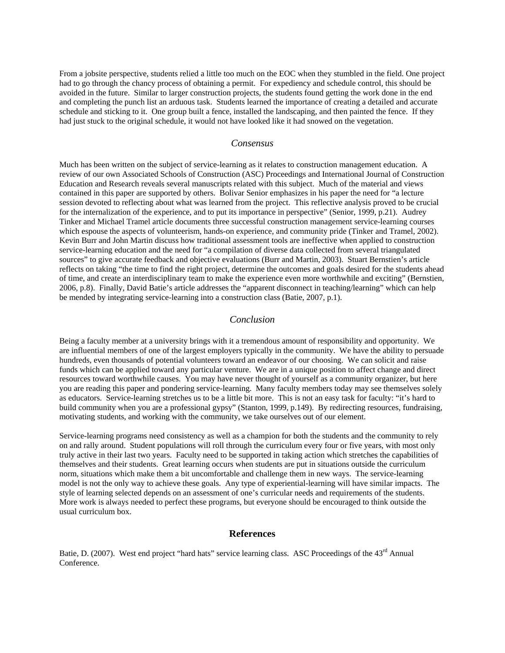From a jobsite perspective, students relied a little too much on the EOC when they stumbled in the field. One project had to go through the chancy process of obtaining a permit. For expediency and schedule control, this should be avoided in the future. Similar to larger construction projects, the students found getting the work done in the end and completing the punch list an arduous task. Students learned the importance of creating a detailed and accurate schedule and sticking to it. One group built a fence, installed the landscaping, and then painted the fence. If they had just stuck to the original schedule, it would not have looked like it had snowed on the vegetation.

# *Consensus*

Much has been written on the subject of service-learning as it relates to construction management education. A review of our own Associated Schools of Construction (ASC) Proceedings and International Journal of Construction Education and Research reveals several manuscripts related with this subject. Much of the material and views contained in this paper are supported by others. Bolivar Senior emphasizes in his paper the need for "a lecture session devoted to reflecting about what was learned from the project. This reflective analysis proved to be crucial for the internalization of the experience, and to put its importance in perspective" (Senior, 1999, p.21). Audrey Tinker and Michael Tramel article documents three successful construction management service-learning courses which espouse the aspects of volunteerism, hands-on experience, and community pride (Tinker and Tramel, 2002). Kevin Burr and John Martin discuss how traditional assessment tools are ineffective when applied to construction service-learning education and the need for "a compilation of diverse data collected from several triangulated sources" to give accurate feedback and objective evaluations (Burr and Martin, 2003). Stuart Bernstien's article reflects on taking "the time to find the right project, determine the outcomes and goals desired for the students ahead of time, and create an interdisciplinary team to make the experience even more worthwhile and exciting" (Bernstien, 2006, p.8). Finally, David Batie's article addresses the "apparent disconnect in teaching/learning" which can help be mended by integrating service-learning into a construction class (Batie, 2007, p.1).

## *Conclusion*

Being a faculty member at a university brings with it a tremendous amount of responsibility and opportunity. We are influential members of one of the largest employers typically in the community. We have the ability to persuade hundreds, even thousands of potential volunteers toward an endeavor of our choosing. We can solicit and raise funds which can be applied toward any particular venture. We are in a unique position to affect change and direct resources toward worthwhile causes. You may have never thought of yourself as a community organizer, but here you are reading this paper and pondering service-learning. Many faculty members today may see themselves solely as educators. Service-learning stretches us to be a little bit more. This is not an easy task for faculty: "it's hard to build community when you are a professional gypsy" (Stanton, 1999, p.149). By redirecting resources, fundraising, motivating students, and working with the community, we take ourselves out of our element.

Service-learning programs need consistency as well as a champion for both the students and the community to rely on and rally around. Student populations will roll through the curriculum every four or five years, with most only truly active in their last two years. Faculty need to be supported in taking action which stretches the capabilities of themselves and their students. Great learning occurs when students are put in situations outside the curriculum norm, situations which make them a bit uncomfortable and challenge them in new ways. The service-learning model is not the only way to achieve these goals. Any type of experiential-learning will have similar impacts. The style of learning selected depends on an assessment of one's curricular needs and requirements of the students. More work is always needed to perfect these programs, but everyone should be encouraged to think outside the usual curriculum box.

## **References**

Batie, D. (2007). West end project "hard hats" service learning class. ASC Proceedings of the 43<sup>rd</sup> Annual Conference.